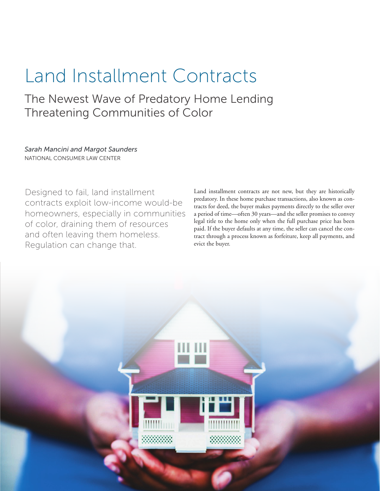# Land Installment Contracts

The Newest Wave of Predatory Home Lending Threatening Communities of Color

*Sarah Mancini and Margot Saunders* NATIONAL CONSUMER LAW CENTER

Designed to fail, land installment contracts exploit low-income would-be homeowners, especially in communities of color, draining them of resources and often leaving them homeless. Regulation can change that.

Land installment contracts are not new, but they are historically predatory. In these home purchase transactions, also known as contracts for deed, the buyer makes payments directly to the seller over a period of time—often 30 years—and the seller promises to convey legal title to the home only when the full purchase price has been paid. If the buyer defaults at any time, the seller can cancel the contract through a process known as forfeiture, keep all payments, and evict the buyer.

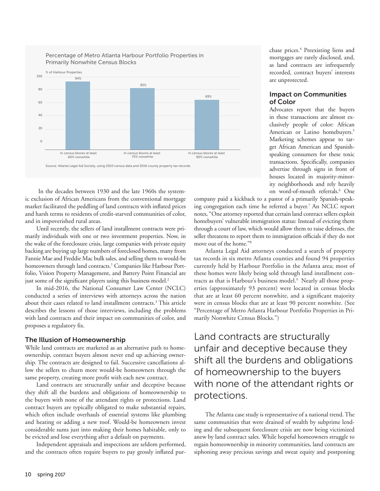

Percentage of Metro Atlanta Harbour Portfolio Properties in

 In the decades between 1930 and the late 1960s the systemic exclusion of African Americans from the conventional mortgage market facilitated the peddling of land contracts with inflated prices and harsh terms to residents of credit-starved communities of color, and in impoverished rural areas.

Until recently, the sellers of land installment contracts were primarily individuals with one or two investment properties. Now, in the wake of the foreclosure crisis, large companies with private equity backing are buying up large numbers of foreclosed homes, many from Fannie Mae and Freddie Mac bulk sales, and selling them to would-be homeowners through land contracts.<sup>1</sup> Companies like Harbour Portfolio, Vision Property Management, and Battery Point Financial are just some of the significant players using this business model.<sup>2</sup>

In mid-2016, the National Consumer Law Center (NCLC) conducted a series of interviews with attorneys across the nation about their cases related to land installment contracts.3 This article describes the lessons of those interviews, including the problems with land contracts and their impact on communities of color, and proposes a regulatory fix.

#### The Illusion of Homeownership

While land contracts are marketed as an alternative path to homeownership, contract buyers almost never end up achieving ownership. The contracts are designed to fail. Successive cancellations allow the sellers to churn more would-be homeowners through the same property, creating more profit with each new contract.

Land contracts are structurally unfair and deceptive because they shift all the burdens and obligations of homeownership to the buyers with none of the attendant rights or protections. Land contract buyers are typically obligated to make substantial repairs, which often include overhauls of essential systems like plumbing and heating or adding a new roof. Would-be homeowners invest considerable sums just into making their homes habitable, only to be evicted and lose everything after a default on payments.

Independent appraisals and inspections are seldom performed, and the contracts often require buyers to pay grossly inflated pur-

chase prices.4 Preexisting liens and mortgages are rarely disclosed, and, as land contracts are infrequently recorded, contract buyers' interests are unprotected.

### Impact on Communities of Color

Advocates report that the buyers in these transactions are almost exclusively people of color: African American or Latino homebuyers.<sup>5</sup> Marketing schemes appear to target African American and Spanishspeaking consumers for these toxic transactions. Specifically, companies advertise through signs in front of houses located in majority-minority neighborhoods and rely heavily on word-of-mouth referrals.6 One

company paid a kickback to a pastor of a primarily Spanish-speaking congregation each time he referred a buyer.7 An NCLC report notes, "One attorney reported that certain land contract sellers exploit homebuyers' vulnerable immigration status: Instead of evicting them through a court of law, which would allow them to raise defenses, the seller threatens to report them to immigration officials if they do not move out of the home."8

Atlanta Legal Aid attorneys conducted a search of property tax records in six metro Atlanta counties and found 94 properties currently held by Harbour Portfolio in the Atlanta area; most of these homes were likely being sold through land installment contracts as that is Harbour's business model.<sup>9</sup> Nearly all those properties (approximately 93 percent) were located in census blocks that are at least 60 percent nonwhite, and a significant majority were in census blocks that are at least 90 percent nonwhite. (See "Percentage of Metro Atlanta Harbour Portfolio Properties in Primarily Nonwhite Census Blocks.")

## Land contracts are structurally unfair and deceptive because they shift all the burdens and obligations of homeownership to the buyers with none of the attendant rights or protections.

The Atlanta case study is representative of a national trend. The same communities that were drained of wealth by subprime lending and the subsequent foreclosure crisis are now being victimized anew by land contract sales. While hopeful homeowners struggle to regain homeownership in minority communities, land contracts are siphoning away precious savings and sweat equity and postponing

## 10 spring 2017